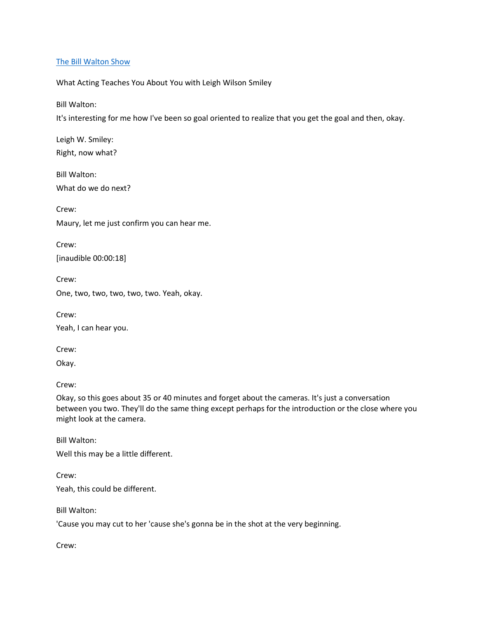#### [The Bill Walton Show](https://thebillwaltonshow.com/)

What Acting Teaches You About You with Leigh Wilson Smiley

Bill Walton:

It's interesting for me how I've been so goal oriented to realize that you get the goal and then, okay.

Leigh W. Smiley: Right, now what?

Bill Walton: What do we do next?

Crew:

Maury, let me just confirm you can hear me.

Crew:

[inaudible 00:00:18]

Crew:

One, two, two, two, two, two. Yeah, okay.

Crew: Yeah, I can hear you.

Crew:

Okay.

Crew:

Okay, so this goes about 35 or 40 minutes and forget about the cameras. It's just a conversation between you two. They'll do the same thing except perhaps for the introduction or the close where you might look at the camera.

Bill Walton:

Well this may be a little different.

Crew: Yeah, this could be different.

Bill Walton:

'Cause you may cut to her 'cause she's gonna be in the shot at the very beginning.

Crew: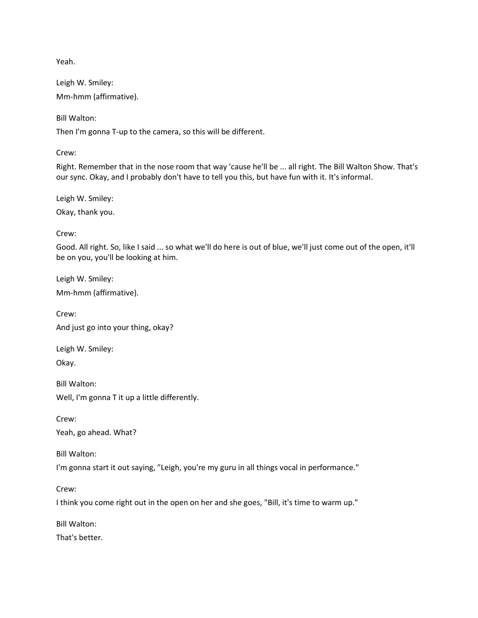Yeah.

Leigh W. Smiley: Mm-hmm (affirmative).

Bill Walton:

Then I'm gonna T-up to the camera, so this will be different.

Crew:

Right. Remember that in the nose room that way 'cause he'll be ... all right. The Bill Walton Show. That's our sync. Okay, and I probably don't have to tell you this, but have fun with it. It's informal.

Leigh W. Smiley: Okay, thank you.

Crew:

Good. All right. So, like I said ... so what we'll do here is out of blue, we'll just come out of the open, it'll be on you, you'll be looking at him.

Leigh W. Smiley: Mm-hmm (affirmative).

Crew: And just go into your thing, okay?

Leigh W. Smiley: Okay.

Bill Walton: Well, I'm gonna T it up a little differently.

Crew: Yeah, go ahead. What?

Bill Walton:

I'm gonna start it out saying, "Leigh, you're my guru in all things vocal in performance."

Crew:

I think you come right out in the open on her and she goes, "Bill, it's time to warm up."

Bill Walton:

That's better.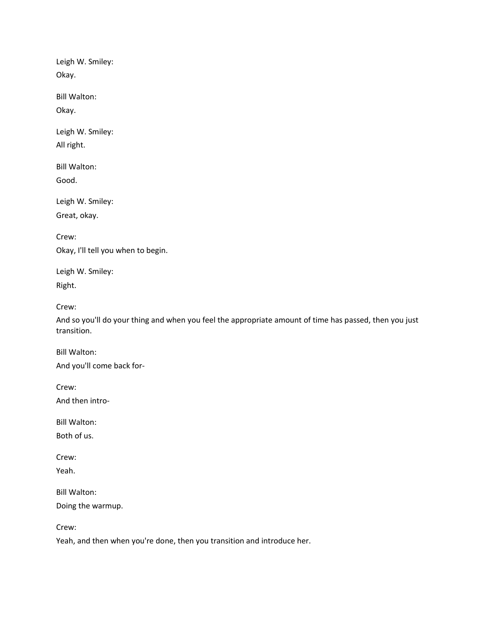Leigh W. Smiley: Okay.

Bill Walton:

Okay.

Leigh W. Smiley: All right.

Bill Walton:

Good.

Leigh W. Smiley: Great, okay.

Crew: Okay, I'll tell you when to begin.

Leigh W. Smiley: Right.

Crew:

And so you'll do your thing and when you feel the appropriate amount of time has passed, then you just transition.

Bill Walton: And you'll come back for-

Crew:

And then intro-

Bill Walton:

Both of us.

Crew:

Yeah.

Bill Walton:

Doing the warmup.

Crew:

Yeah, and then when you're done, then you transition and introduce her.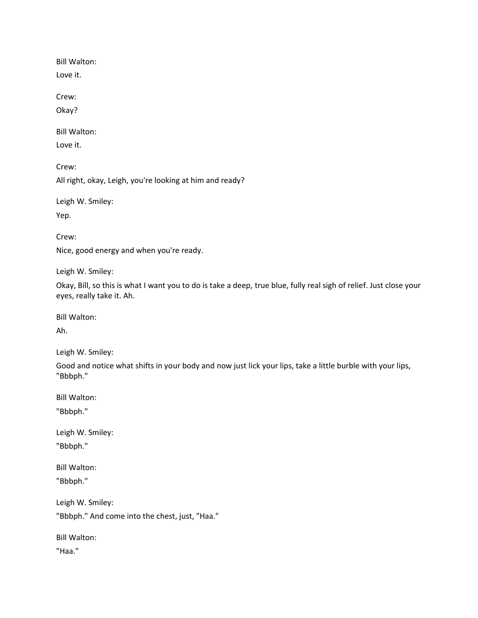Bill Walton:

Love it.

Crew:

Okay?

Bill Walton:

Love it.

Crew:

All right, okay, Leigh, you're looking at him and ready?

Leigh W. Smiley: Yep.

Crew: Nice, good energy and when you're ready.

Leigh W. Smiley:

Okay, Bill, so this is what I want you to do is take a deep, true blue, fully real sigh of relief. Just close your eyes, really take it. Ah.

Bill Walton:

Ah.

Leigh W. Smiley:

Good and notice what shifts in your body and now just lick your lips, take a little burble with your lips, "Bbbph."

Bill Walton:

"Bbbph."

Leigh W. Smiley: "Bbbph."

Bill Walton: "Bbbph."

Leigh W. Smiley: "Bbbph." And come into the chest, just, "Haa."

Bill Walton:

"Haa."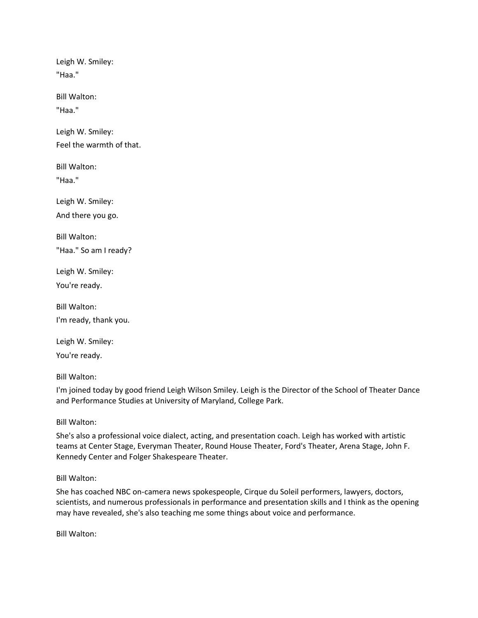Leigh W. Smiley: "Haa."

Bill Walton:

"Haa."

Leigh W. Smiley: Feel the warmth of that.

Bill Walton: "Haa."

Leigh W. Smiley: And there you go.

Bill Walton: "Haa." So am I ready?

Leigh W. Smiley: You're ready.

Bill Walton: I'm ready, thank you.

Leigh W. Smiley: You're ready.

Bill Walton:

I'm joined today by good friend Leigh Wilson Smiley. Leigh is the Director of the School of Theater Dance and Performance Studies at University of Maryland, College Park.

Bill Walton:

She's also a professional voice dialect, acting, and presentation coach. Leigh has worked with artistic teams at Center Stage, Everyman Theater, Round House Theater, Ford's Theater, Arena Stage, John F. Kennedy Center and Folger Shakespeare Theater.

Bill Walton:

She has coached NBC on-camera news spokespeople, Cirque du Soleil performers, lawyers, doctors, scientists, and numerous professionals in performance and presentation skills and I think as the opening may have revealed, she's also teaching me some things about voice and performance.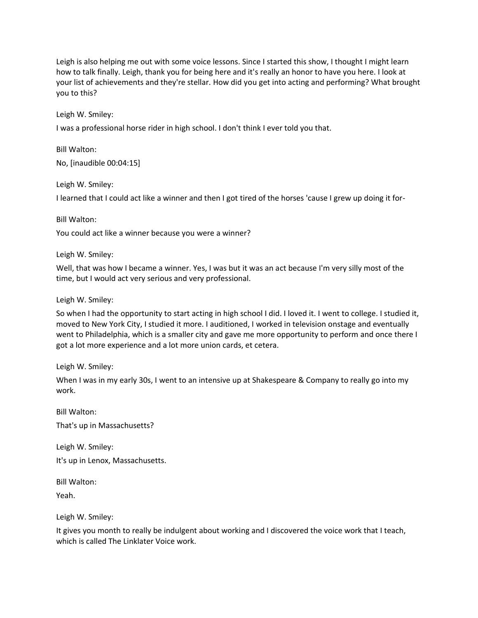Leigh is also helping me out with some voice lessons. Since I started this show, I thought I might learn how to talk finally. Leigh, thank you for being here and it's really an honor to have you here. I look at your list of achievements and they're stellar. How did you get into acting and performing? What brought you to this?

Leigh W. Smiley:

I was a professional horse rider in high school. I don't think I ever told you that.

Bill Walton: No, [inaudible 00:04:15]

Leigh W. Smiley:

I learned that I could act like a winner and then I got tired of the horses 'cause I grew up doing it for-

Bill Walton:

You could act like a winner because you were a winner?

Leigh W. Smiley:

Well, that was how I became a winner. Yes, I was but it was an act because I'm very silly most of the time, but I would act very serious and very professional.

Leigh W. Smiley:

So when I had the opportunity to start acting in high school I did. I loved it. I went to college. I studied it, moved to New York City, I studied it more. I auditioned, I worked in television onstage and eventually went to Philadelphia, which is a smaller city and gave me more opportunity to perform and once there I got a lot more experience and a lot more union cards, et cetera.

Leigh W. Smiley:

When I was in my early 30s, I went to an intensive up at Shakespeare & Company to really go into my work.

Bill Walton: That's up in Massachusetts?

Leigh W. Smiley: It's up in Lenox, Massachusetts.

Bill Walton:

Yeah.

Leigh W. Smiley:

It gives you month to really be indulgent about working and I discovered the voice work that I teach, which is called The Linklater Voice work.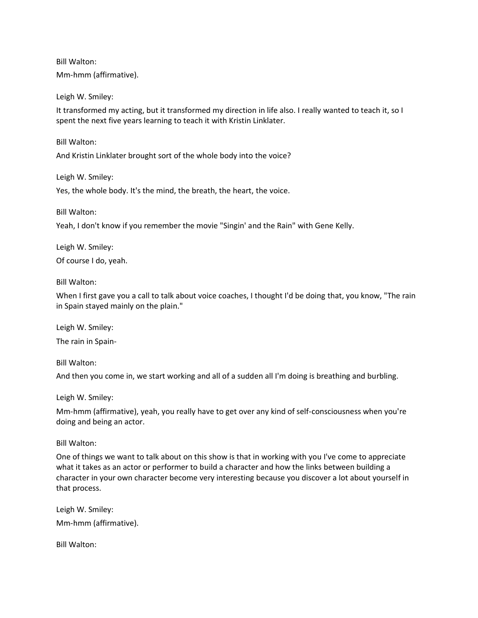Bill Walton:

Mm-hmm (affirmative).

Leigh W. Smiley:

It transformed my acting, but it transformed my direction in life also. I really wanted to teach it, so I spent the next five years learning to teach it with Kristin Linklater.

Bill Walton:

And Kristin Linklater brought sort of the whole body into the voice?

Leigh W. Smiley:

Yes, the whole body. It's the mind, the breath, the heart, the voice.

Bill Walton:

Yeah, I don't know if you remember the movie "Singin' and the Rain" with Gene Kelly.

Leigh W. Smiley: Of course I do, yeah.

Bill Walton:

When I first gave you a call to talk about voice coaches, I thought I'd be doing that, you know, "The rain in Spain stayed mainly on the plain."

Leigh W. Smiley:

The rain in Spain-

Bill Walton:

And then you come in, we start working and all of a sudden all I'm doing is breathing and burbling.

Leigh W. Smiley:

Mm-hmm (affirmative), yeah, you really have to get over any kind of self-consciousness when you're doing and being an actor.

Bill Walton:

One of things we want to talk about on this show is that in working with you I've come to appreciate what it takes as an actor or performer to build a character and how the links between building a character in your own character become very interesting because you discover a lot about yourself in that process.

Leigh W. Smiley: Mm-hmm (affirmative).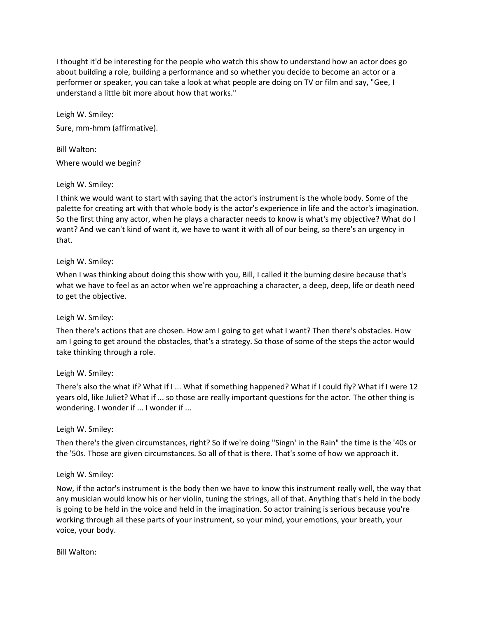I thought it'd be interesting for the people who watch this show to understand how an actor does go about building a role, building a performance and so whether you decide to become an actor or a performer or speaker, you can take a look at what people are doing on TV or film and say, "Gee, I understand a little bit more about how that works."

Leigh W. Smiley: Sure, mm-hmm (affirmative).

Bill Walton: Where would we begin?

# Leigh W. Smiley:

I think we would want to start with saying that the actor's instrument is the whole body. Some of the palette for creating art with that whole body is the actor's experience in life and the actor's imagination. So the first thing any actor, when he plays a character needs to know is what's my objective? What do I want? And we can't kind of want it, we have to want it with all of our being, so there's an urgency in that.

### Leigh W. Smiley:

When I was thinking about doing this show with you, Bill, I called it the burning desire because that's what we have to feel as an actor when we're approaching a character, a deep, deep, life or death need to get the objective.

# Leigh W. Smiley:

Then there's actions that are chosen. How am I going to get what I want? Then there's obstacles. How am I going to get around the obstacles, that's a strategy. So those of some of the steps the actor would take thinking through a role.

# Leigh W. Smiley:

There's also the what if? What if I ... What if something happened? What if I could fly? What if I were 12 years old, like Juliet? What if ... so those are really important questions for the actor. The other thing is wondering. I wonder if ... I wonder if ...

#### Leigh W. Smiley:

Then there's the given circumstances, right? So if we're doing "Singn' in the Rain" the time is the '40s or the '50s. Those are given circumstances. So all of that is there. That's some of how we approach it.

#### Leigh W. Smiley:

Now, if the actor's instrument is the body then we have to know this instrument really well, the way that any musician would know his or her violin, tuning the strings, all of that. Anything that's held in the body is going to be held in the voice and held in the imagination. So actor training is serious because you're working through all these parts of your instrument, so your mind, your emotions, your breath, your voice, your body.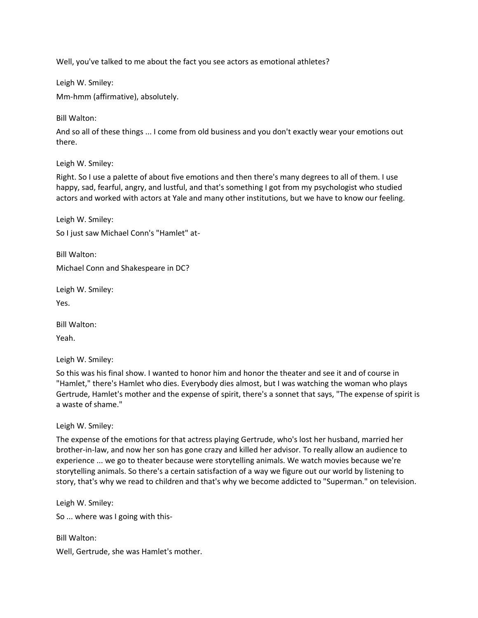Well, you've talked to me about the fact you see actors as emotional athletes?

Leigh W. Smiley:

Mm-hmm (affirmative), absolutely.

Bill Walton:

And so all of these things ... I come from old business and you don't exactly wear your emotions out there.

Leigh W. Smiley:

Right. So I use a palette of about five emotions and then there's many degrees to all of them. I use happy, sad, fearful, angry, and lustful, and that's something I got from my psychologist who studied actors and worked with actors at Yale and many other institutions, but we have to know our feeling.

Leigh W. Smiley:

So I just saw Michael Conn's "Hamlet" at-

Bill Walton: Michael Conn and Shakespeare in DC?

Leigh W. Smiley:

Yes.

Bill Walton:

Yeah.

Leigh W. Smiley:

So this was his final show. I wanted to honor him and honor the theater and see it and of course in "Hamlet," there's Hamlet who dies. Everybody dies almost, but I was watching the woman who plays Gertrude, Hamlet's mother and the expense of spirit, there's a sonnet that says, "The expense of spirit is a waste of shame."

Leigh W. Smiley:

The expense of the emotions for that actress playing Gertrude, who's lost her husband, married her brother-in-law, and now her son has gone crazy and killed her advisor. To really allow an audience to experience ... we go to theater because were storytelling animals. We watch movies because we're storytelling animals. So there's a certain satisfaction of a way we figure out our world by listening to story, that's why we read to children and that's why we become addicted to "Superman." on television.

Leigh W. Smiley:

So ... where was I going with this-

Bill Walton:

Well, Gertrude, she was Hamlet's mother.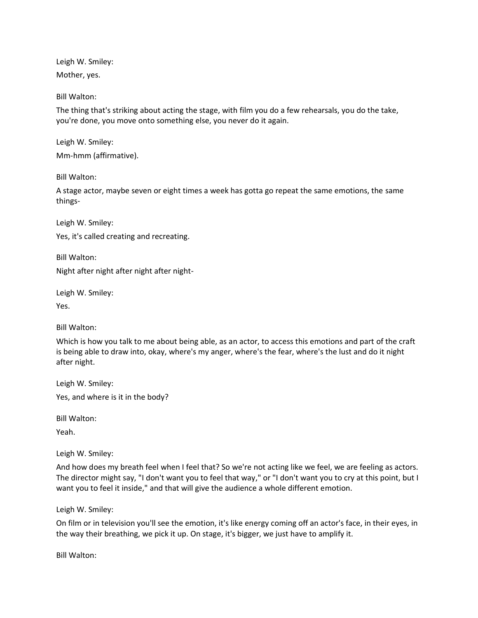Leigh W. Smiley: Mother, yes.

Bill Walton:

The thing that's striking about acting the stage, with film you do a few rehearsals, you do the take, you're done, you move onto something else, you never do it again.

Leigh W. Smiley:

Mm-hmm (affirmative).

Bill Walton:

A stage actor, maybe seven or eight times a week has gotta go repeat the same emotions, the same things-

Leigh W. Smiley:

Yes, it's called creating and recreating.

Bill Walton: Night after night after night after night-

Leigh W. Smiley:

Yes.

Bill Walton:

Which is how you talk to me about being able, as an actor, to access this emotions and part of the craft is being able to draw into, okay, where's my anger, where's the fear, where's the lust and do it night after night.

Leigh W. Smiley: Yes, and where is it in the body?

Bill Walton:

Yeah.

Leigh W. Smiley:

And how does my breath feel when I feel that? So we're not acting like we feel, we are feeling as actors. The director might say, "I don't want you to feel that way," or "I don't want you to cry at this point, but I want you to feel it inside," and that will give the audience a whole different emotion.

Leigh W. Smiley:

On film or in television you'll see the emotion, it's like energy coming off an actor's face, in their eyes, in the way their breathing, we pick it up. On stage, it's bigger, we just have to amplify it.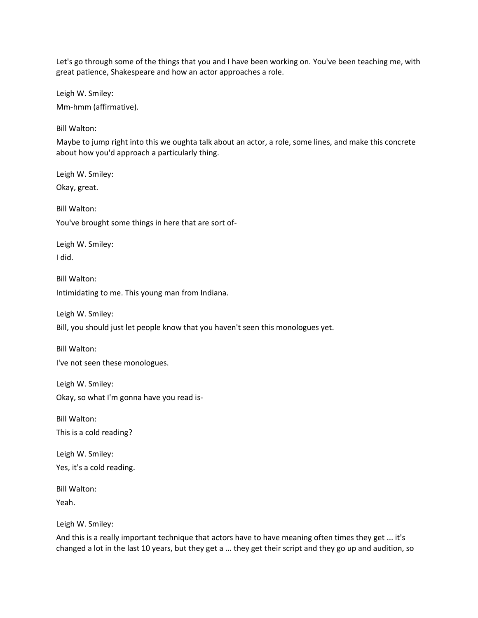Let's go through some of the things that you and I have been working on. You've been teaching me, with great patience, Shakespeare and how an actor approaches a role.

Leigh W. Smiley:

Mm-hmm (affirmative).

Bill Walton:

Maybe to jump right into this we oughta talk about an actor, a role, some lines, and make this concrete about how you'd approach a particularly thing.

Leigh W. Smiley:

Okay, great.

Bill Walton:

You've brought some things in here that are sort of-

Leigh W. Smiley: I did.

Bill Walton: Intimidating to me. This young man from Indiana.

Leigh W. Smiley: Bill, you should just let people know that you haven't seen this monologues yet.

Bill Walton: I've not seen these monologues.

Leigh W. Smiley: Okay, so what I'm gonna have you read is-

Bill Walton: This is a cold reading?

Leigh W. Smiley: Yes, it's a cold reading.

Bill Walton:

Yeah.

Leigh W. Smiley:

And this is a really important technique that actors have to have meaning often times they get ... it's changed a lot in the last 10 years, but they get a ... they get their script and they go up and audition, so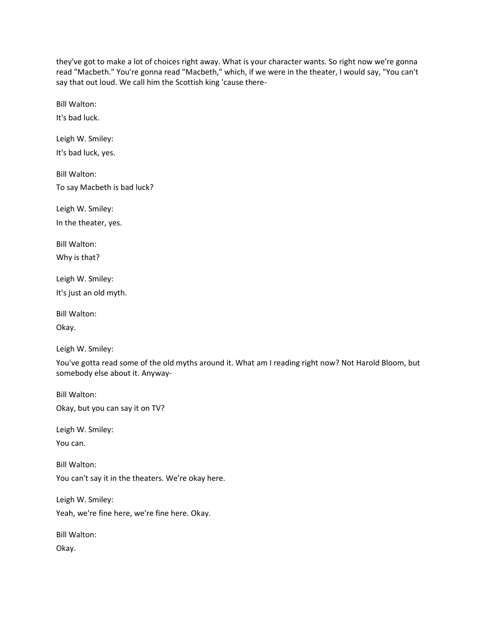they've got to make a lot of choices right away. What is your character wants. So right now we're gonna read "Macbeth." You're gonna read "Macbeth," which, if we were in the theater, I would say, "You can't say that out loud. We call him the Scottish king 'cause there-

Bill Walton:

It's bad luck.

Leigh W. Smiley: It's bad luck, yes.

Bill Walton: To say Macbeth is bad luck?

Leigh W. Smiley: In the theater, yes.

Bill Walton: Why is that?

Leigh W. Smiley: It's just an old myth.

Bill Walton:

Okay.

Leigh W. Smiley:

You've gotta read some of the old myths around it. What am I reading right now? Not Harold Bloom, but somebody else about it. Anyway-

Bill Walton: Okay, but you can say it on TV?

Leigh W. Smiley:

You can.

Bill Walton: You can't say it in the theaters. We're okay here.

Leigh W. Smiley:

Yeah, we're fine here, we're fine here. Okay.

Bill Walton:

Okay.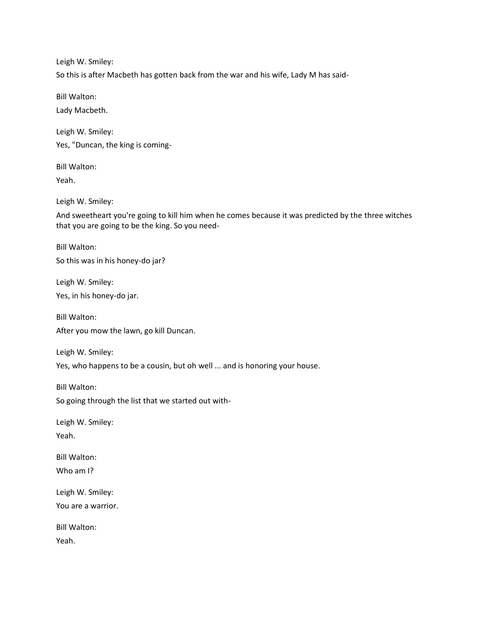So this is after Macbeth has gotten back from the war and his wife, Lady M has said-

Bill Walton:

Lady Macbeth.

Leigh W. Smiley: Yes, "Duncan, the king is coming-

Bill Walton:

Yeah.

Leigh W. Smiley:

And sweetheart you're going to kill him when he comes because it was predicted by the three witches that you are going to be the king. So you need-

Bill Walton: So this was in his honey-do jar?

Leigh W. Smiley: Yes, in his honey-do jar.

Bill Walton: After you mow the lawn, go kill Duncan.

Leigh W. Smiley: Yes, who happens to be a cousin, but oh well ... and is honoring your house.

Bill Walton:

So going through the list that we started out with-

Leigh W. Smiley: Yeah.

Bill Walton: Who am I?

Leigh W. Smiley: You are a warrior.

Bill Walton: Yeah.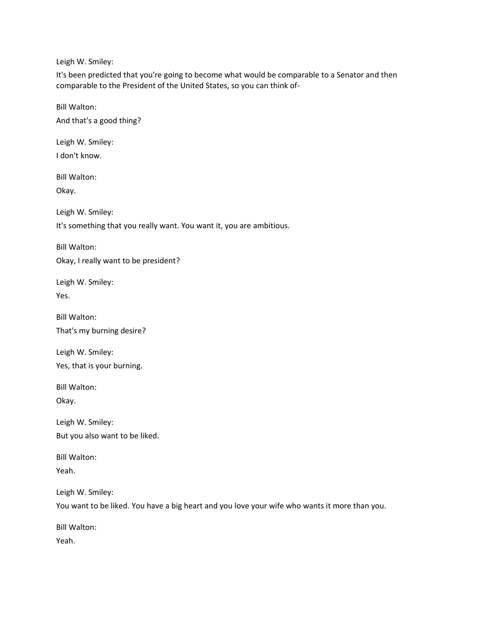It's been predicted that you're going to become what would be comparable to a Senator and then comparable to the President of the United States, so you can think of-

Bill Walton: And that's a good thing?

Leigh W. Smiley:

I don't know.

Bill Walton:

Okay.

Leigh W. Smiley:

It's something that you really want. You want it, you are ambitious.

Bill Walton:

Okay, I really want to be president?

Leigh W. Smiley: Yes.

Bill Walton:

That's my burning desire?

Leigh W. Smiley: Yes, that is your burning.

Bill Walton:

Okay.

Leigh W. Smiley: But you also want to be liked.

Bill Walton: Yeah.

Leigh W. Smiley:

You want to be liked. You have a big heart and you love your wife who wants it more than you.

Bill Walton: Yeah.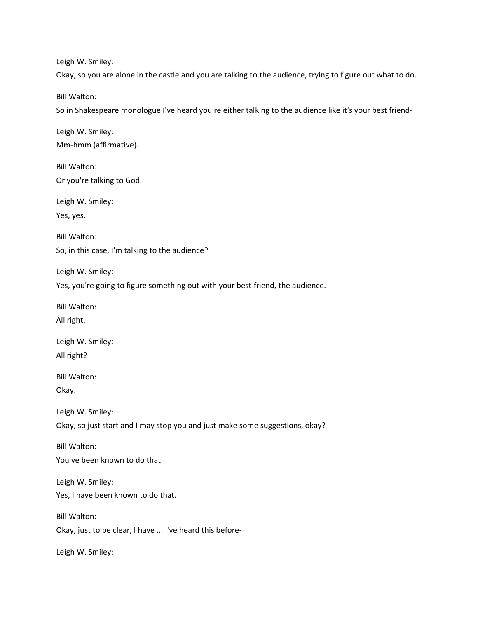Okay, so you are alone in the castle and you are talking to the audience, trying to figure out what to do.

Bill Walton:

So in Shakespeare monologue I've heard you're either talking to the audience like it's your best friend-

Leigh W. Smiley: Mm-hmm (affirmative).

Bill Walton: Or you're talking to God.

Leigh W. Smiley: Yes, yes.

Bill Walton: So, in this case, I'm talking to the audience?

Leigh W. Smiley:

Yes, you're going to figure something out with your best friend, the audience.

Bill Walton:

All right.

Leigh W. Smiley: All right?

Bill Walton: Okay.

Leigh W. Smiley:

Okay, so just start and I may stop you and just make some suggestions, okay?

Bill Walton: You've been known to do that.

Leigh W. Smiley: Yes, I have been known to do that.

Bill Walton: Okay, just to be clear, I have ... I've heard this before-

Leigh W. Smiley: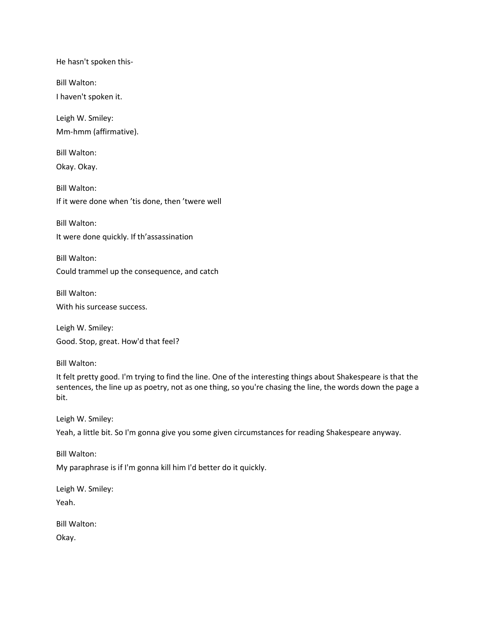He hasn't spoken this-

Bill Walton:

I haven't spoken it.

Leigh W. Smiley: Mm-hmm (affirmative).

Bill Walton: Okay. Okay.

Bill Walton: If it were done when 'tis done, then 'twere well

Bill Walton:

It were done quickly. If th'assassination

Bill Walton: Could trammel up the consequence, and catch

Bill Walton:

With his surcease success.

Leigh W. Smiley: Good. Stop, great. How'd that feel?

Bill Walton:

It felt pretty good. I'm trying to find the line. One of the interesting things about Shakespeare is that the sentences, the line up as poetry, not as one thing, so you're chasing the line, the words down the page a bit.

Leigh W. Smiley:

Yeah, a little bit. So I'm gonna give you some given circumstances for reading Shakespeare anyway.

Bill Walton:

My paraphrase is if I'm gonna kill him I'd better do it quickly.

Leigh W. Smiley:

Yeah.

Bill Walton:

Okay.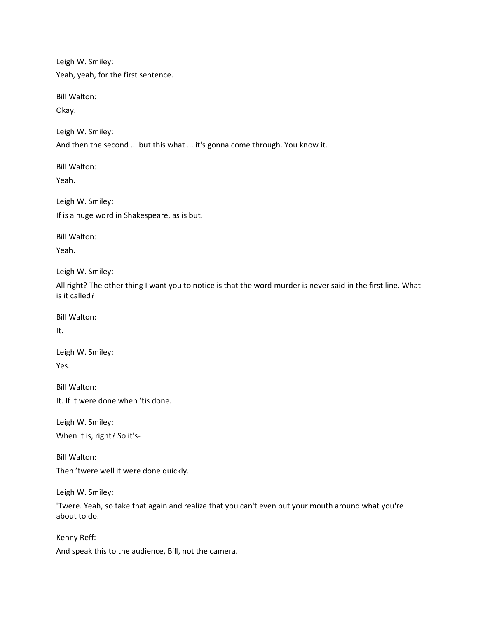Yeah, yeah, for the first sentence.

Bill Walton:

Okay.

Leigh W. Smiley:

And then the second ... but this what ... it's gonna come through. You know it.

Bill Walton:

Yeah.

Leigh W. Smiley: If is a huge word in Shakespeare, as is but.

Bill Walton:

Yeah.

Leigh W. Smiley:

All right? The other thing I want you to notice is that the word murder is never said in the first line. What is it called?

Bill Walton:

It.

Leigh W. Smiley: Yes.

Bill Walton:

It. If it were done when 'tis done.

Leigh W. Smiley: When it is, right? So it's-

Bill Walton: Then 'twere well it were done quickly.

Leigh W. Smiley:

'Twere. Yeah, so take that again and realize that you can't even put your mouth around what you're about to do.

Kenny Reff: And speak this to the audience, Bill, not the camera.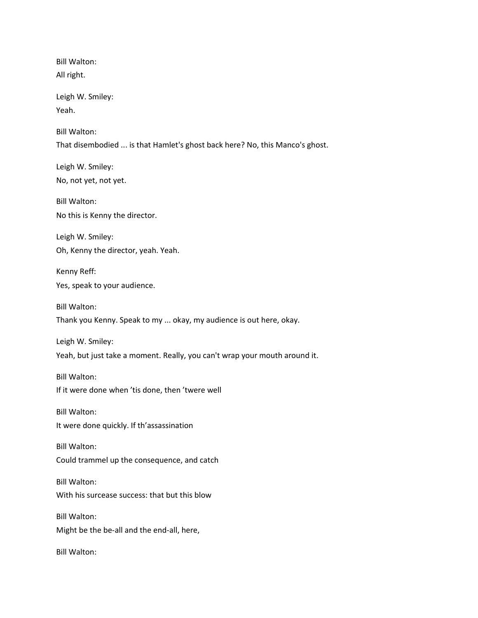Bill Walton: All right. Leigh W. Smiley: Yeah. Bill Walton: That disembodied ... is that Hamlet's ghost back here? No, this Manco's ghost. Leigh W. Smiley: No, not yet, not yet. Bill Walton: No this is Kenny the director. Leigh W. Smiley: Oh, Kenny the director, yeah. Yeah. Kenny Reff: Yes, speak to your audience. Bill Walton: Thank you Kenny. Speak to my ... okay, my audience is out here, okay. Leigh W. Smiley: Yeah, but just take a moment. Really, you can't wrap your mouth around it. Bill Walton: If it were done when 'tis done, then 'twere well Bill Walton: It were done quickly. If th'assassination Bill Walton: Could trammel up the consequence, and catch Bill Walton: With his surcease success: that but this blow Bill Walton: Might be the be-all and the end-all, here, Bill Walton: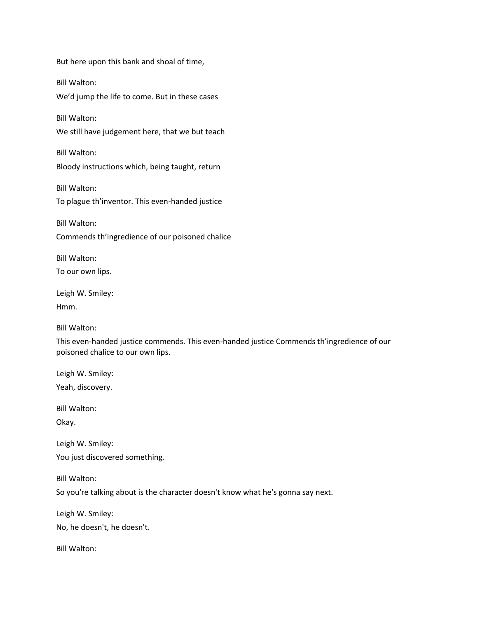But here upon this bank and shoal of time, Bill Walton: We'd jump the life to come. But in these cases Bill Walton: We still have judgement here, that we but teach Bill Walton: Bloody instructions which, being taught, return Bill Walton: To plague th'inventor. This even-handed justice Bill Walton: Commends th'ingredience of our poisoned chalice Bill Walton: To our own lips. Leigh W. Smiley: Hmm. Bill Walton: This even-handed justice commends. This even-handed justice Commends th'ingredience of our poisoned chalice to our own lips. Leigh W. Smiley: Yeah, discovery. Bill Walton: Okay. Leigh W. Smiley: You just discovered something. Bill Walton:

So you're talking about is the character doesn't know what he's gonna say next.

Leigh W. Smiley:

No, he doesn't, he doesn't.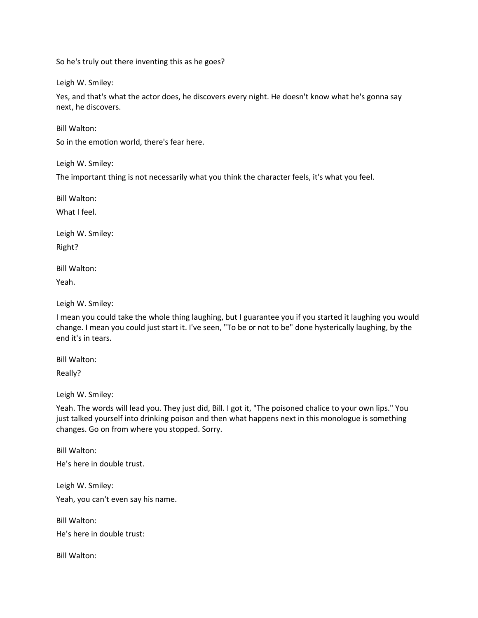So he's truly out there inventing this as he goes?

Leigh W. Smiley:

Yes, and that's what the actor does, he discovers every night. He doesn't know what he's gonna say next, he discovers.

Bill Walton:

So in the emotion world, there's fear here.

Leigh W. Smiley:

The important thing is not necessarily what you think the character feels, it's what you feel.

Bill Walton:

What I feel.

Leigh W. Smiley: Right?

Bill Walton:

Yeah.

Leigh W. Smiley:

I mean you could take the whole thing laughing, but I guarantee you if you started it laughing you would change. I mean you could just start it. I've seen, "To be or not to be" done hysterically laughing, by the end it's in tears.

Bill Walton:

Really?

Leigh W. Smiley:

Yeah. The words will lead you. They just did, Bill. I got it, "The poisoned chalice to your own lips." You just talked yourself into drinking poison and then what happens next in this monologue is something changes. Go on from where you stopped. Sorry.

Bill Walton: He's here in double trust.

Leigh W. Smiley:

Yeah, you can't even say his name.

Bill Walton:

He's here in double trust: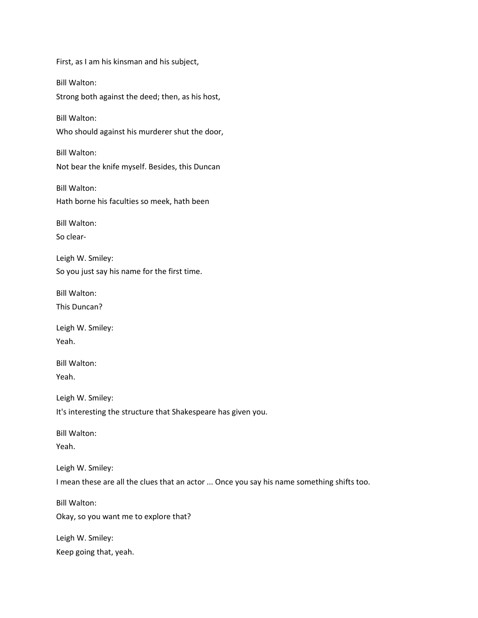First, as I am his kinsman and his subject, Bill Walton: Strong both against the deed; then, as his host, Bill Walton: Who should against his murderer shut the door, Bill Walton: Not bear the knife myself. Besides, this Duncan Bill Walton: Hath borne his faculties so meek, hath been Bill Walton: So clear-Leigh W. Smiley: So you just say his name for the first time. Bill Walton: This Duncan? Leigh W. Smiley: Yeah. Bill Walton: Yeah. Leigh W. Smiley: It's interesting the structure that Shakespeare has given you. Bill Walton: Yeah. Leigh W. Smiley: I mean these are all the clues that an actor ... Once you say his name something shifts too. Bill Walton: Okay, so you want me to explore that? Leigh W. Smiley: Keep going that, yeah.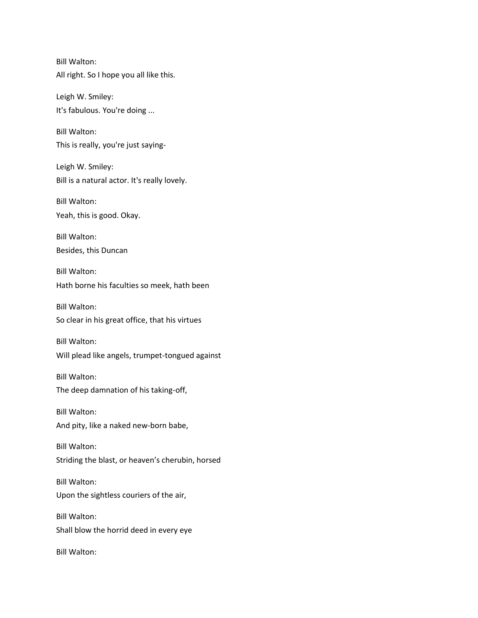Bill Walton: All right. So I hope you all like this.

Leigh W. Smiley: It's fabulous. You're doing ...

Bill Walton: This is really, you're just saying-

Leigh W. Smiley: Bill is a natural actor. It's really lovely.

Bill Walton: Yeah, this is good. Okay.

Bill Walton: Besides, this Duncan

Bill Walton: Hath borne his faculties so meek, hath been

Bill Walton: So clear in his great office, that his virtues

Bill Walton: Will plead like angels, trumpet-tongued against

Bill Walton: The deep damnation of his taking-off,

Bill Walton: And pity, like a naked new-born babe,

Bill Walton: Striding the blast, or heaven's cherubin, horsed

Bill Walton: Upon the sightless couriers of the air,

Bill Walton: Shall blow the horrid deed in every eye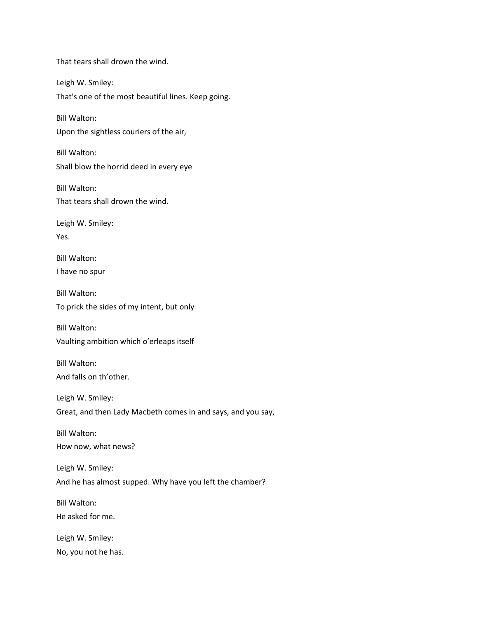That tears shall drown the wind. Leigh W. Smiley: That's one of the most beautiful lines. Keep going. Bill Walton: Upon the sightless couriers of the air, Bill Walton: Shall blow the horrid deed in every eye Bill Walton: That tears shall drown the wind. Leigh W. Smiley: Yes. Bill Walton: I have no spur Bill Walton: To prick the sides of my intent, but only Bill Walton: Vaulting ambition which o'erleaps itself Bill Walton: And falls on th'other. Leigh W. Smiley: Great, and then Lady Macbeth comes in and says, and you say, Bill Walton: How now, what news? Leigh W. Smiley: And he has almost supped. Why have you left the chamber? Bill Walton: He asked for me. Leigh W. Smiley: No, you not he has.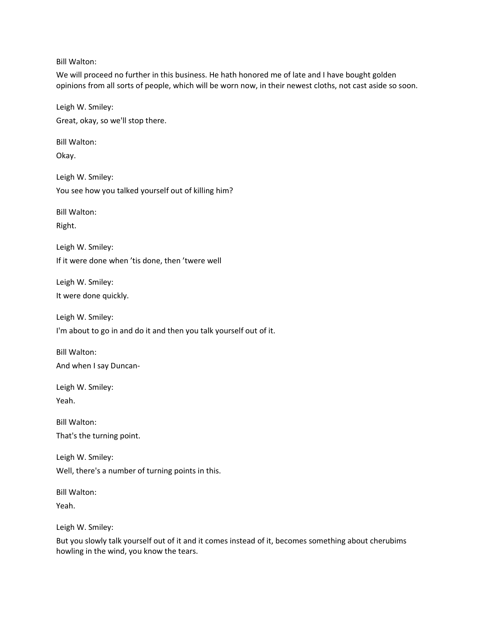Bill Walton:

We will proceed no further in this business. He hath honored me of late and I have bought golden opinions from all sorts of people, which will be worn now, in their newest cloths, not cast aside so soon.

Leigh W. Smiley: Great, okay, so we'll stop there.

Bill Walton:

Okay.

Leigh W. Smiley: You see how you talked yourself out of killing him?

Bill Walton:

Right.

Leigh W. Smiley: If it were done when 'tis done, then 'twere well

Leigh W. Smiley: It were done quickly.

Leigh W. Smiley:

I'm about to go in and do it and then you talk yourself out of it.

Bill Walton: And when I say Duncan-

Leigh W. Smiley: Yeah.

Bill Walton: That's the turning point.

Leigh W. Smiley: Well, there's a number of turning points in this.

Bill Walton:

Yeah.

Leigh W. Smiley:

But you slowly talk yourself out of it and it comes instead of it, becomes something about cherubims howling in the wind, you know the tears.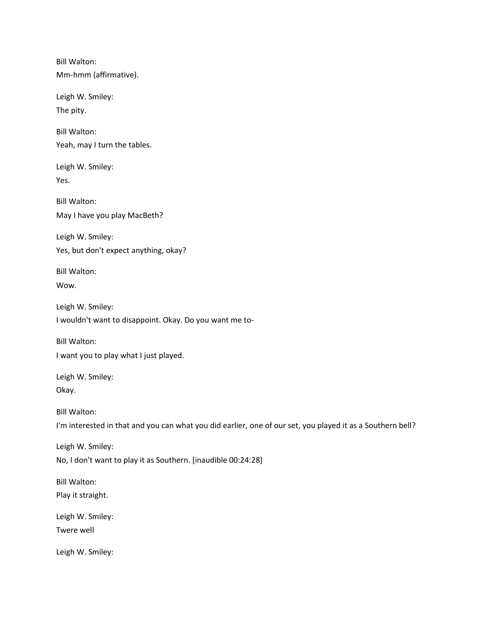Bill Walton: Mm-hmm (affirmative).

Leigh W. Smiley: The pity.

Bill Walton: Yeah, may I turn the tables.

Leigh W. Smiley: Yes.

Bill Walton: May I have you play MacBeth?

Leigh W. Smiley: Yes, but don't expect anything, okay?

Bill Walton: Wow.

Leigh W. Smiley: I wouldn't want to disappoint. Okay. Do you want me to-

Bill Walton: I want you to play what I just played.

Leigh W. Smiley: Okay.

Bill Walton: I'm interested in that and you can what you did earlier, one of our set, you played it as a Southern bell?

Leigh W. Smiley: No, I don't want to play it as Southern. [inaudible 00:24:28]

Bill Walton: Play it straight.

Leigh W. Smiley: Twere well

Leigh W. Smiley: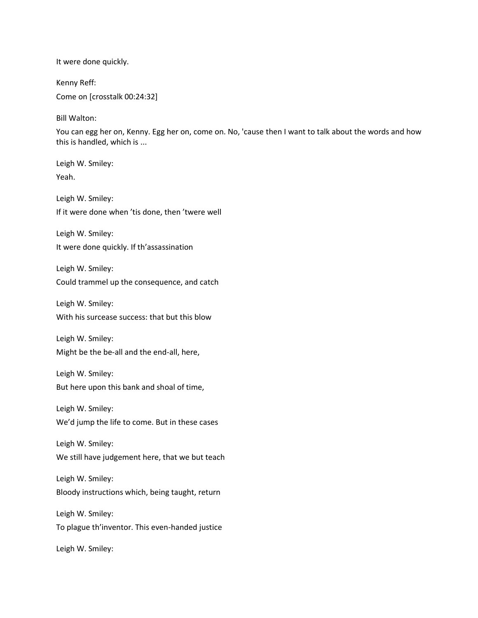It were done quickly.

Kenny Reff:

Come on [crosstalk 00:24:32]

Bill Walton:

You can egg her on, Kenny. Egg her on, come on. No, 'cause then I want to talk about the words and how this is handled, which is ...

Leigh W. Smiley: Yeah.

Leigh W. Smiley: If it were done when 'tis done, then 'twere well

Leigh W. Smiley: It were done quickly. If th'assassination

Leigh W. Smiley:

Could trammel up the consequence, and catch

Leigh W. Smiley: With his surcease success: that but this blow

Leigh W. Smiley: Might be the be-all and the end-all, here,

Leigh W. Smiley: But here upon this bank and shoal of time,

Leigh W. Smiley: We'd jump the life to come. But in these cases

Leigh W. Smiley: We still have judgement here, that we but teach

Leigh W. Smiley: Bloody instructions which, being taught, return

Leigh W. Smiley: To plague th'inventor. This even-handed justice

Leigh W. Smiley: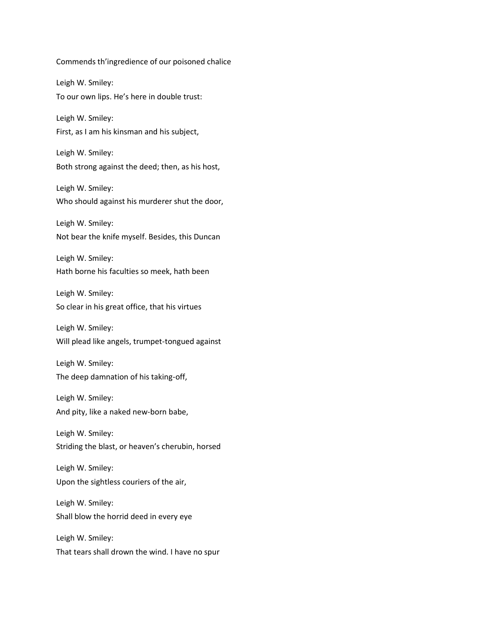Commends th'ingredience of our poisoned chalice Leigh W. Smiley: To our own lips. He's here in double trust: Leigh W. Smiley: First, as I am his kinsman and his subject, Leigh W. Smiley: Both strong against the deed; then, as his host, Leigh W. Smiley: Who should against his murderer shut the door, Leigh W. Smiley: Not bear the knife myself. Besides, this Duncan Leigh W. Smiley: Hath borne his faculties so meek, hath been Leigh W. Smiley: So clear in his great office, that his virtues Leigh W. Smiley: Will plead like angels, trumpet-tongued against Leigh W. Smiley: The deep damnation of his taking-off, Leigh W. Smiley: And pity, like a naked new-born babe, Leigh W. Smiley: Striding the blast, or heaven's cherubin, horsed Leigh W. Smiley: Upon the sightless couriers of the air, Leigh W. Smiley: Shall blow the horrid deed in every eye Leigh W. Smiley: That tears shall drown the wind. I have no spur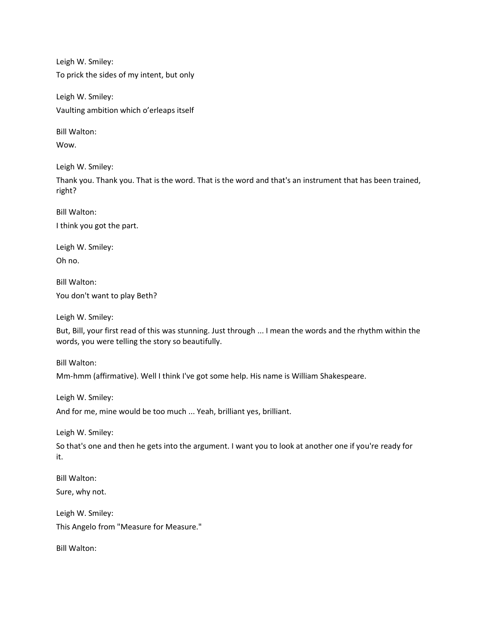Leigh W. Smiley: To prick the sides of my intent, but only

Leigh W. Smiley: Vaulting ambition which o'erleaps itself

Bill Walton:

Wow.

Leigh W. Smiley:

Thank you. Thank you. That is the word. That is the word and that's an instrument that has been trained, right?

Bill Walton: I think you got the part.

Leigh W. Smiley: Oh no.

Bill Walton: You don't want to play Beth?

Leigh W. Smiley:

But, Bill, your first read of this was stunning. Just through ... I mean the words and the rhythm within the words, you were telling the story so beautifully.

Bill Walton:

Mm-hmm (affirmative). Well I think I've got some help. His name is William Shakespeare.

Leigh W. Smiley:

And for me, mine would be too much ... Yeah, brilliant yes, brilliant.

Leigh W. Smiley:

So that's one and then he gets into the argument. I want you to look at another one if you're ready for it.

Bill Walton: Sure, why not.

Leigh W. Smiley: This Angelo from "Measure for Measure."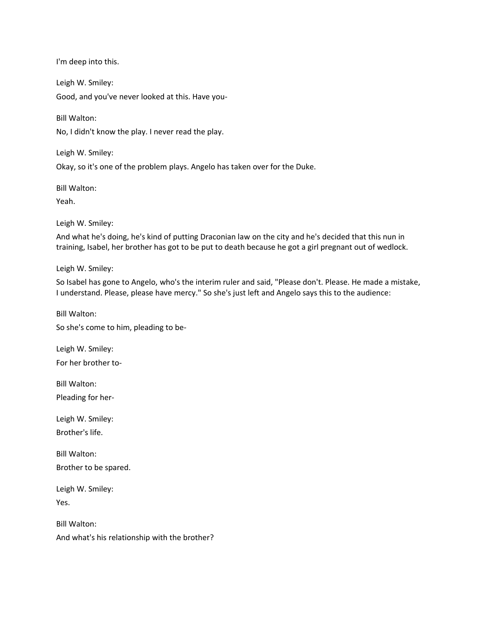I'm deep into this.

Leigh W. Smiley: Good, and you've never looked at this. Have you-

Bill Walton:

No, I didn't know the play. I never read the play.

Leigh W. Smiley:

Okay, so it's one of the problem plays. Angelo has taken over for the Duke.

Bill Walton:

Yeah.

Leigh W. Smiley:

And what he's doing, he's kind of putting Draconian law on the city and he's decided that this nun in training, Isabel, her brother has got to be put to death because he got a girl pregnant out of wedlock.

Leigh W. Smiley:

So Isabel has gone to Angelo, who's the interim ruler and said, "Please don't. Please. He made a mistake, I understand. Please, please have mercy." So she's just left and Angelo says this to the audience:

Bill Walton: So she's come to him, pleading to be-

Leigh W. Smiley: For her brother to-

Bill Walton: Pleading for her-

Leigh W. Smiley: Brother's life.

Bill Walton: Brother to be spared.

Leigh W. Smiley:

Yes.

Bill Walton: And what's his relationship with the brother?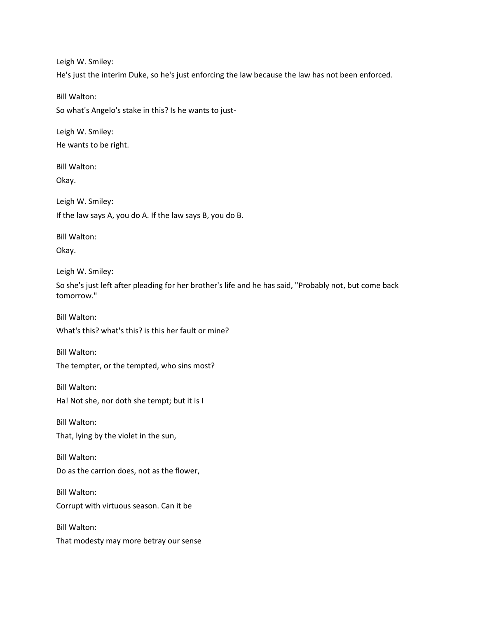Leigh W. Smiley: He's just the interim Duke, so he's just enforcing the law because the law has not been enforced.

Bill Walton:

So what's Angelo's stake in this? Is he wants to just-

Leigh W. Smiley: He wants to be right.

Bill Walton:

Okay.

Leigh W. Smiley: If the law says A, you do A. If the law says B, you do B.

Bill Walton:

Okay.

Leigh W. Smiley:

So she's just left after pleading for her brother's life and he has said, "Probably not, but come back tomorrow."

Bill Walton: What's this? what's this? is this her fault or mine?

Bill Walton: The tempter, or the tempted, who sins most?

Bill Walton:

Ha! Not she, nor doth she tempt; but it is I

Bill Walton:

That, lying by the violet in the sun,

Bill Walton: Do as the carrion does, not as the flower,

Bill Walton: Corrupt with virtuous season. Can it be

Bill Walton: That modesty may more betray our sense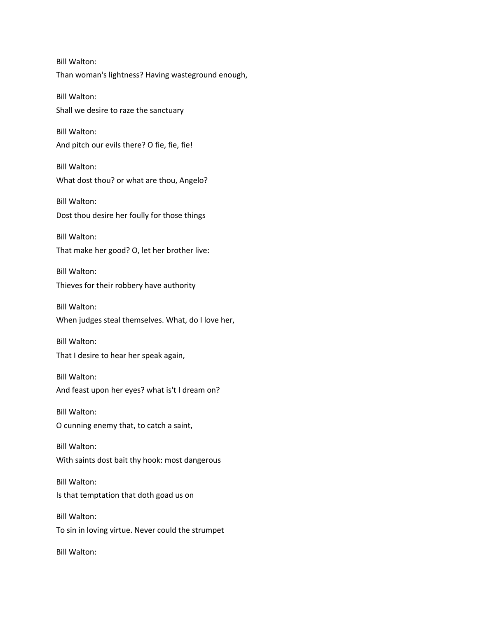Bill Walton: Than woman's lightness? Having wasteground enough, Bill Walton: Shall we desire to raze the sanctuary Bill Walton: And pitch our evils there? O fie, fie, fie! Bill Walton: What dost thou? or what are thou, Angelo? Bill Walton: Dost thou desire her foully for those things Bill Walton: That make her good? O, let her brother live: Bill Walton: Thieves for their robbery have authority Bill Walton: When judges steal themselves. What, do I love her, Bill Walton: That I desire to hear her speak again, Bill Walton: And feast upon her eyes? what is't I dream on? Bill Walton: O cunning enemy that, to catch a saint, Bill Walton: With saints dost bait thy hook: most dangerous Bill Walton: Is that temptation that doth goad us on Bill Walton: To sin in loving virtue. Never could the strumpet Bill Walton: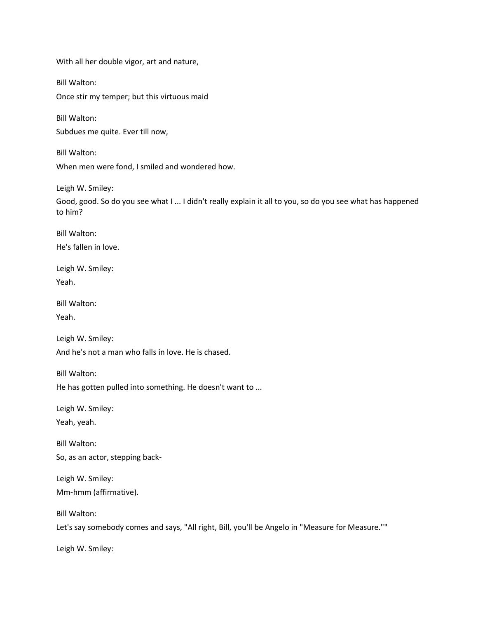With all her double vigor, art and nature,

Bill Walton:

Once stir my temper; but this virtuous maid

Bill Walton:

Subdues me quite. Ever till now,

Bill Walton: When men were fond, I smiled and wondered how.

Leigh W. Smiley:

Good, good. So do you see what I ... I didn't really explain it all to you, so do you see what has happened to him?

Bill Walton: He's fallen in love.

Leigh W. Smiley: Yeah.

Bill Walton:

Yeah.

Leigh W. Smiley: And he's not a man who falls in love. He is chased.

Bill Walton:

He has gotten pulled into something. He doesn't want to ...

Leigh W. Smiley: Yeah, yeah.

Bill Walton: So, as an actor, stepping back-

Leigh W. Smiley: Mm-hmm (affirmative).

Bill Walton:

Let's say somebody comes and says, "All right, Bill, you'll be Angelo in "Measure for Measure.""

Leigh W. Smiley: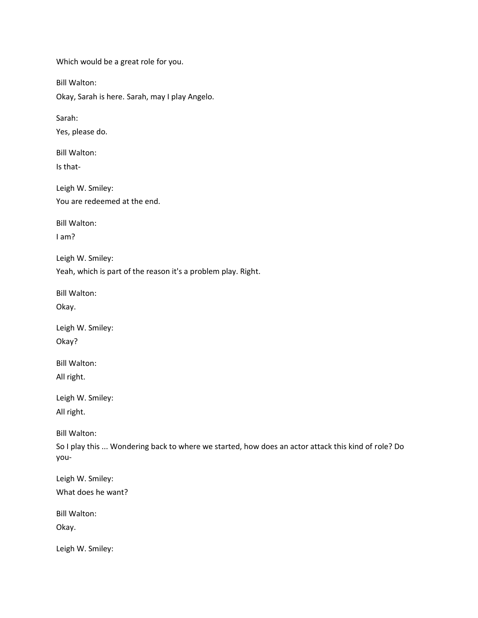Which would be a great role for you. Bill Walton: Okay, Sarah is here. Sarah, may I play Angelo. Sarah: Yes, please do. Bill Walton: Is that-Leigh W. Smiley: You are redeemed at the end. Bill Walton: I am? Leigh W. Smiley: Yeah, which is part of the reason it's a problem play. Right. Bill Walton: Okay. Leigh W. Smiley: Okay? Bill Walton: All right. Leigh W. Smiley: All right. Bill Walton: So I play this ... Wondering back to where we started, how does an actor attack this kind of role? Do you-Leigh W. Smiley: What does he want? Bill Walton: Okay. Leigh W. Smiley: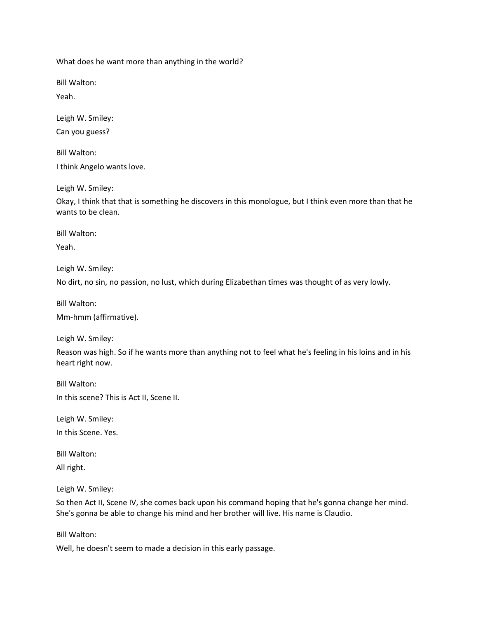What does he want more than anything in the world?

Bill Walton:

Yeah.

Leigh W. Smiley: Can you guess?

Bill Walton: I think Angelo wants love.

Leigh W. Smiley:

Okay, I think that that is something he discovers in this monologue, but I think even more than that he wants to be clean.

Bill Walton:

Yeah.

Leigh W. Smiley:

No dirt, no sin, no passion, no lust, which during Elizabethan times was thought of as very lowly.

Bill Walton:

Mm-hmm (affirmative).

Leigh W. Smiley:

Reason was high. So if he wants more than anything not to feel what he's feeling in his loins and in his heart right now.

Bill Walton: In this scene? This is Act II, Scene II.

Leigh W. Smiley: In this Scene. Yes.

Bill Walton:

All right.

Leigh W. Smiley:

So then Act II, Scene IV, she comes back upon his command hoping that he's gonna change her mind. She's gonna be able to change his mind and her brother will live. His name is Claudio.

Bill Walton:

Well, he doesn't seem to made a decision in this early passage.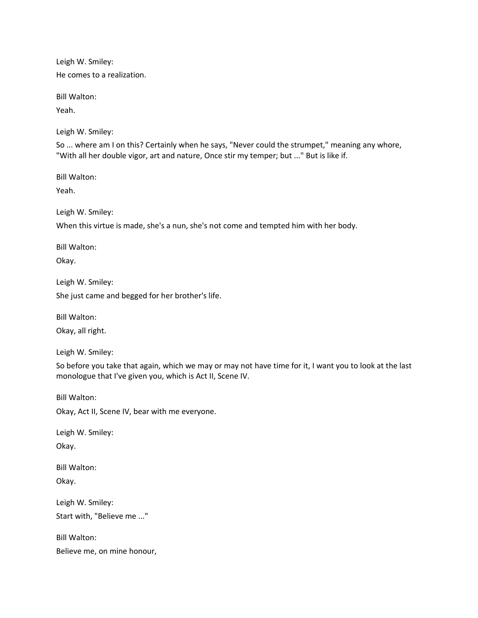Leigh W. Smiley: He comes to a realization.

Bill Walton:

Yeah.

Leigh W. Smiley:

So ... where am I on this? Certainly when he says, "Never could the strumpet," meaning any whore, "With all her double vigor, art and nature, Once stir my temper; but ..." But is like if.

Bill Walton:

Yeah.

Leigh W. Smiley:

When this virtue is made, she's a nun, she's not come and tempted him with her body.

Bill Walton:

Okay.

Leigh W. Smiley: She just came and begged for her brother's life.

Bill Walton:

Okay, all right.

Leigh W. Smiley:

So before you take that again, which we may or may not have time for it, I want you to look at the last monologue that I've given you, which is Act II, Scene IV.

Bill Walton:

Okay, Act II, Scene IV, bear with me everyone.

Leigh W. Smiley: Okay.

Bill Walton:

Okay.

Leigh W. Smiley: Start with, "Believe me ..."

Bill Walton: Believe me, on mine honour,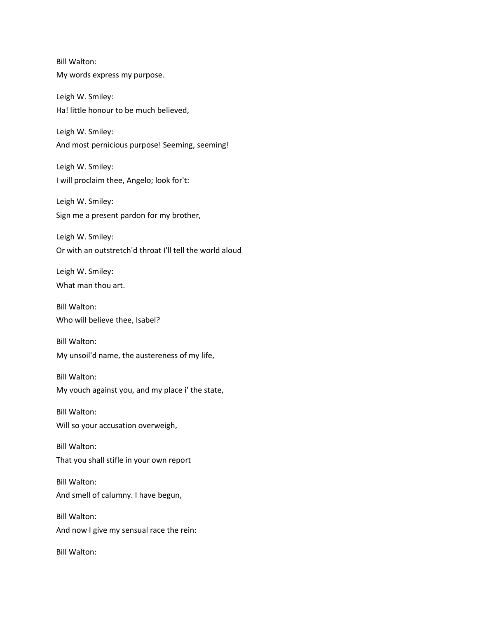Bill Walton: My words express my purpose.

Leigh W. Smiley: Ha! little honour to be much believed,

Leigh W. Smiley: And most pernicious purpose! Seeming, seeming!

Leigh W. Smiley: I will proclaim thee, Angelo; look for't:

Leigh W. Smiley: Sign me a present pardon for my brother,

Leigh W. Smiley: Or with an outstretch'd throat I'll tell the world aloud

Leigh W. Smiley: What man thou art.

Bill Walton: Who will believe thee, Isabel?

Bill Walton: My unsoil'd name, the austereness of my life,

Bill Walton: My vouch against you, and my place i' the state,

Bill Walton: Will so your accusation overweigh,

Bill Walton: That you shall stifle in your own report

Bill Walton: And smell of calumny. I have begun,

Bill Walton: And now I give my sensual race the rein: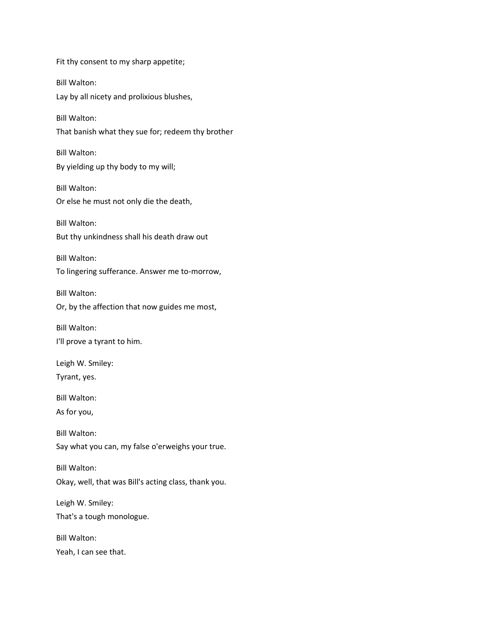Fit thy consent to my sharp appetite; Bill Walton: Lay by all nicety and prolixious blushes, Bill Walton: That banish what they sue for; redeem thy brother Bill Walton: By yielding up thy body to my will; Bill Walton: Or else he must not only die the death, Bill Walton: But thy unkindness shall his death draw out Bill Walton: To lingering sufferance. Answer me to-morrow, Bill Walton: Or, by the affection that now guides me most, Bill Walton: I'll prove a tyrant to him. Leigh W. Smiley: Tyrant, yes. Bill Walton: As for you, Bill Walton: Say what you can, my false o'erweighs your true. Bill Walton: Okay, well, that was Bill's acting class, thank you. Leigh W. Smiley: That's a tough monologue. Bill Walton: Yeah, I can see that.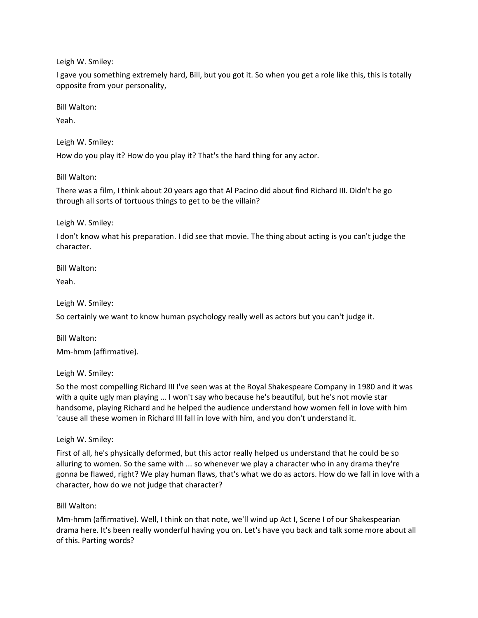I gave you something extremely hard, Bill, but you got it. So when you get a role like this, this is totally opposite from your personality,

Bill Walton:

Yeah.

Leigh W. Smiley:

How do you play it? How do you play it? That's the hard thing for any actor.

Bill Walton:

There was a film, I think about 20 years ago that Al Pacino did about find Richard III. Didn't he go through all sorts of tortuous things to get to be the villain?

Leigh W. Smiley:

I don't know what his preparation. I did see that movie. The thing about acting is you can't judge the character.

Bill Walton:

Yeah.

Leigh W. Smiley:

So certainly we want to know human psychology really well as actors but you can't judge it.

Bill Walton: Mm-hmm (affirmative).

Leigh W. Smiley:

So the most compelling Richard III I've seen was at the Royal Shakespeare Company in 1980 and it was with a quite ugly man playing ... I won't say who because he's beautiful, but he's not movie star handsome, playing Richard and he helped the audience understand how women fell in love with him 'cause all these women in Richard III fall in love with him, and you don't understand it.

Leigh W. Smiley:

First of all, he's physically deformed, but this actor really helped us understand that he could be so alluring to women. So the same with ... so whenever we play a character who in any drama they're gonna be flawed, right? We play human flaws, that's what we do as actors. How do we fall in love with a character, how do we not judge that character?

Bill Walton:

Mm-hmm (affirmative). Well, I think on that note, we'll wind up Act I, Scene I of our Shakespearian drama here. It's been really wonderful having you on. Let's have you back and talk some more about all of this. Parting words?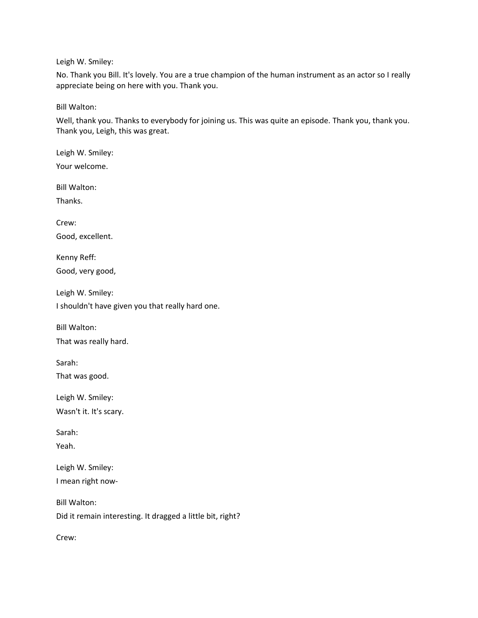No. Thank you Bill. It's lovely. You are a true champion of the human instrument as an actor so I really appreciate being on here with you. Thank you.

Bill Walton:

Well, thank you. Thanks to everybody for joining us. This was quite an episode. Thank you, thank you. Thank you, Leigh, this was great.

Leigh W. Smiley: Your welcome. Bill Walton: Thanks. Crew: Good, excellent. Kenny Reff: Good, very good, Leigh W. Smiley: I shouldn't have given you that really hard one. Bill Walton: That was really hard. Sarah: That was good.

Leigh W. Smiley: Wasn't it. It's scary.

Sarah:

Yeah.

Leigh W. Smiley: I mean right now-

Bill Walton: Did it remain interesting. It dragged a little bit, right?

Crew: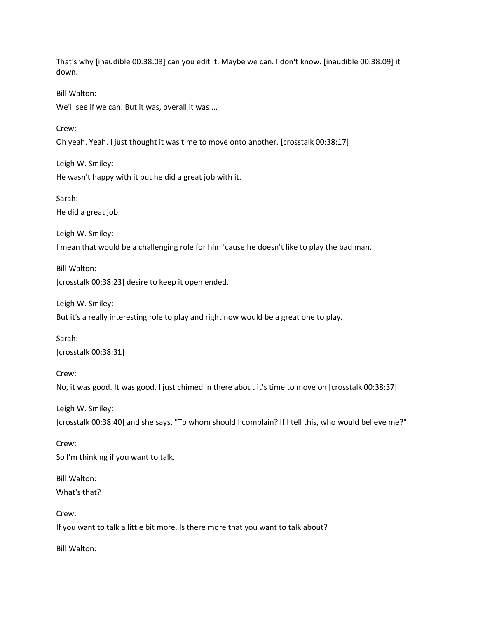That's why [inaudible 00:38:03] can you edit it. Maybe we can. I don't know. [inaudible 00:38:09] it down. Bill Walton: We'll see if we can. But it was, overall it was ... Crew: Oh yeah. Yeah. I just thought it was time to move onto another. [crosstalk 00:38:17] Leigh W. Smiley: He wasn't happy with it but he did a great job with it. Sarah: He did a great job. Leigh W. Smiley: I mean that would be a challenging role for him 'cause he doesn't like to play the bad man. Bill Walton: [crosstalk 00:38:23] desire to keep it open ended. Leigh W. Smiley: But it's a really interesting role to play and right now would be a great one to play. Sarah: [crosstalk 00:38:31] Crew: No, it was good. It was good. I just chimed in there about it's time to move on [crosstalk 00:38:37] Leigh W. Smiley: [crosstalk 00:38:40] and she says, "To whom should I complain? If I tell this, who would believe me?" Crew: So I'm thinking if you want to talk. Bill Walton: What's that?

Crew:

If you want to talk a little bit more. Is there more that you want to talk about?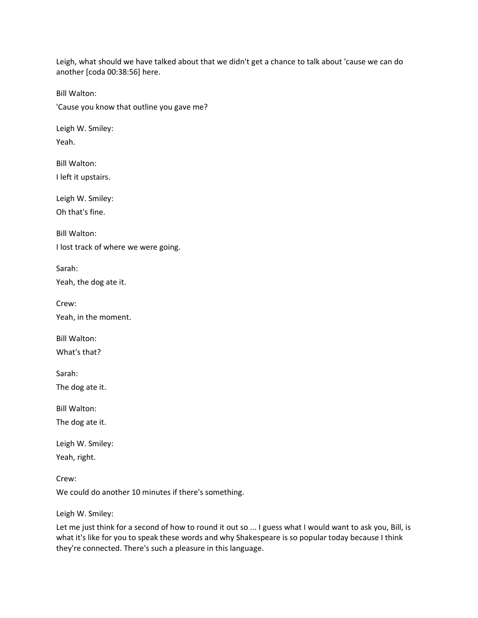Leigh, what should we have talked about that we didn't get a chance to talk about 'cause we can do another [coda 00:38:56] here.

Bill Walton:

'Cause you know that outline you gave me?

Leigh W. Smiley: Yeah.

Bill Walton: I left it upstairs.

Leigh W. Smiley: Oh that's fine.

Bill Walton: I lost track of where we were going.

Sarah:

Yeah, the dog ate it.

Crew: Yeah, in the moment.

Bill Walton:

What's that?

Sarah:

The dog ate it.

Bill Walton:

The dog ate it.

Leigh W. Smiley: Yeah, right.

Crew: We could do another 10 minutes if there's something.

Leigh W. Smiley:

Let me just think for a second of how to round it out so ... I guess what I would want to ask you, Bill, is what it's like for you to speak these words and why Shakespeare is so popular today because I think they're connected. There's such a pleasure in this language.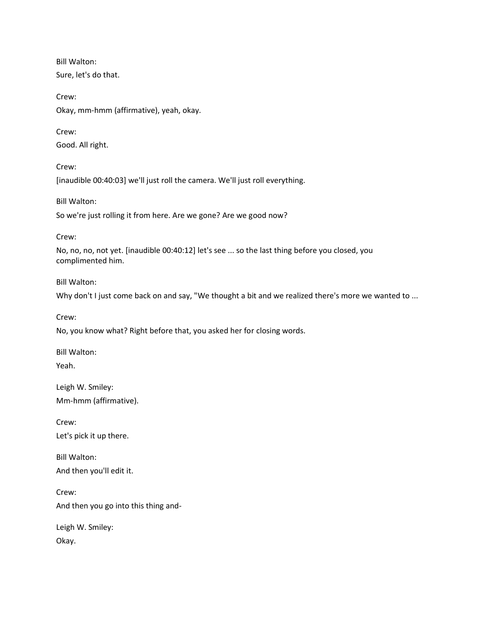Bill Walton: Sure, let's do that.

Crew: Okay, mm-hmm (affirmative), yeah, okay.

Crew: Good. All right.

Crew: [inaudible 00:40:03] we'll just roll the camera. We'll just roll everything.

Bill Walton: So we're just rolling it from here. Are we gone? Are we good now?

Crew:

No, no, no, not yet. [inaudible 00:40:12] let's see ... so the last thing before you closed, you complimented him.

Bill Walton:

Why don't I just come back on and say, "We thought a bit and we realized there's more we wanted to ...

Crew:

No, you know what? Right before that, you asked her for closing words.

Bill Walton: Yeah.

Leigh W. Smiley: Mm-hmm (affirmative).

Crew: Let's pick it up there.

Bill Walton: And then you'll edit it.

Crew: And then you go into this thing and-

Leigh W. Smiley: Okay.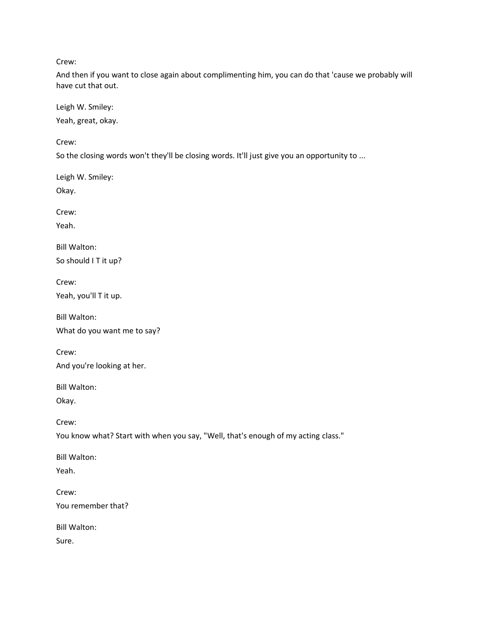Crew:

And then if you want to close again about complimenting him, you can do that 'cause we probably will have cut that out.

Leigh W. Smiley: Yeah, great, okay.

Crew:

So the closing words won't they'll be closing words. It'll just give you an opportunity to ...

Leigh W. Smiley: Okay.

Crew:

Yeah.

Bill Walton: So should I T it up?

Crew: Yeah, you'll T it up.

Bill Walton:

What do you want me to say?

Crew: And you're looking at her.

Bill Walton:

Okay.

Crew:

You know what? Start with when you say, "Well, that's enough of my acting class."

Bill Walton:

Yeah.

Crew: You remember that?

Bill Walton: Sure.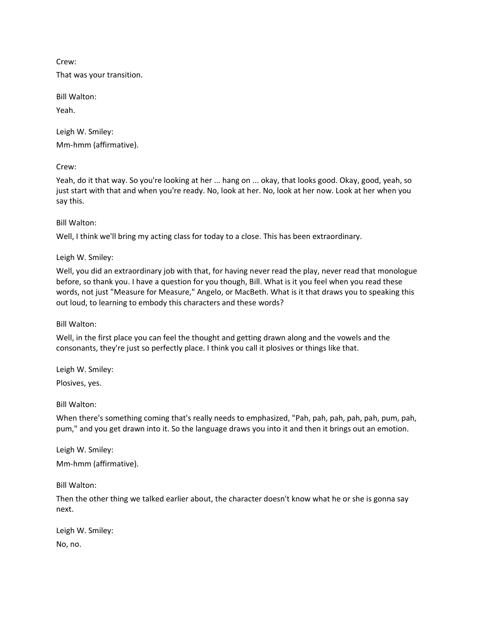Crew:

That was your transition.

Bill Walton:

Yeah.

Leigh W. Smiley: Mm-hmm (affirmative).

Crew:

Yeah, do it that way. So you're looking at her ... hang on ... okay, that looks good. Okay, good, yeah, so just start with that and when you're ready. No, look at her. No, look at her now. Look at her when you say this.

Bill Walton:

Well, I think we'll bring my acting class for today to a close. This has been extraordinary.

Leigh W. Smiley:

Well, you did an extraordinary job with that, for having never read the play, never read that monologue before, so thank you. I have a question for you though, Bill. What is it you feel when you read these words, not just "Measure for Measure," Angelo, or MacBeth. What is it that draws you to speaking this out loud, to learning to embody this characters and these words?

Bill Walton:

Well, in the first place you can feel the thought and getting drawn along and the vowels and the consonants, they're just so perfectly place. I think you call it plosives or things like that.

Leigh W. Smiley:

Plosives, yes.

Bill Walton:

When there's something coming that's really needs to emphasized, "Pah, pah, pah, pah, pah, pum, pah, pum," and you get drawn into it. So the language draws you into it and then it brings out an emotion.

Leigh W. Smiley: Mm-hmm (affirmative).

Bill Walton:

Then the other thing we talked earlier about, the character doesn't know what he or she is gonna say next.

Leigh W. Smiley:

No, no.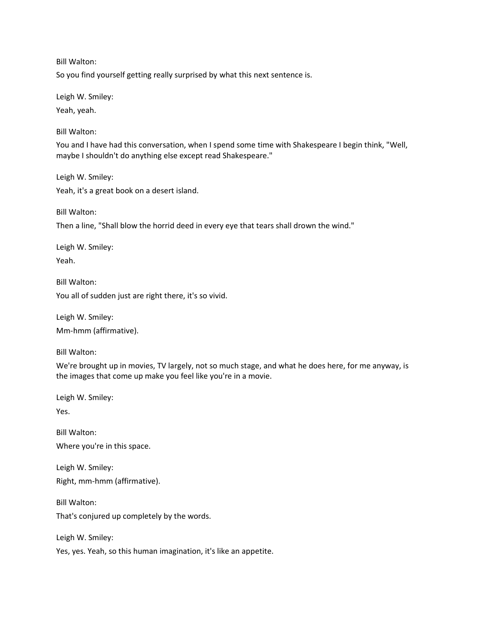Bill Walton:

So you find yourself getting really surprised by what this next sentence is.

Leigh W. Smiley:

Yeah, yeah.

Bill Walton:

You and I have had this conversation, when I spend some time with Shakespeare I begin think, "Well, maybe I shouldn't do anything else except read Shakespeare."

Leigh W. Smiley: Yeah, it's a great book on a desert island.

Bill Walton:

Then a line, "Shall blow the horrid deed in every eye that tears shall drown the wind."

Leigh W. Smiley: Yeah.

Bill Walton: You all of sudden just are right there, it's so vivid.

Leigh W. Smiley:

Mm-hmm (affirmative).

Bill Walton:

We're brought up in movies, TV largely, not so much stage, and what he does here, for me anyway, is the images that come up make you feel like you're in a movie.

Leigh W. Smiley:

Yes.

Bill Walton: Where you're in this space.

Leigh W. Smiley: Right, mm-hmm (affirmative).

Bill Walton: That's conjured up completely by the words.

Leigh W. Smiley:

Yes, yes. Yeah, so this human imagination, it's like an appetite.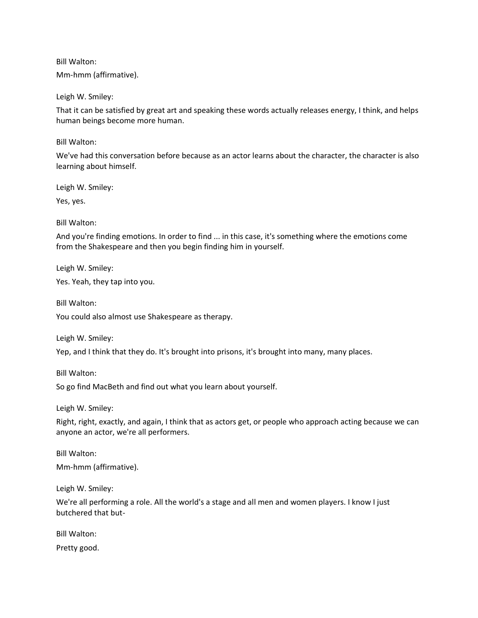Bill Walton: Mm-hmm (affirmative).

Leigh W. Smiley:

That it can be satisfied by great art and speaking these words actually releases energy, I think, and helps human beings become more human.

Bill Walton:

We've had this conversation before because as an actor learns about the character, the character is also learning about himself.

Leigh W. Smiley:

Yes, yes.

Bill Walton:

And you're finding emotions. In order to find ... in this case, it's something where the emotions come from the Shakespeare and then you begin finding him in yourself.

Leigh W. Smiley:

Yes. Yeah, they tap into you.

Bill Walton:

You could also almost use Shakespeare as therapy.

Leigh W. Smiley:

Yep, and I think that they do. It's brought into prisons, it's brought into many, many places.

Bill Walton:

So go find MacBeth and find out what you learn about yourself.

Leigh W. Smiley:

Right, right, exactly, and again, I think that as actors get, or people who approach acting because we can anyone an actor, we're all performers.

Bill Walton: Mm-hmm (affirmative).

Leigh W. Smiley:

We're all performing a role. All the world's a stage and all men and women players. I know I just butchered that but-

Bill Walton:

Pretty good.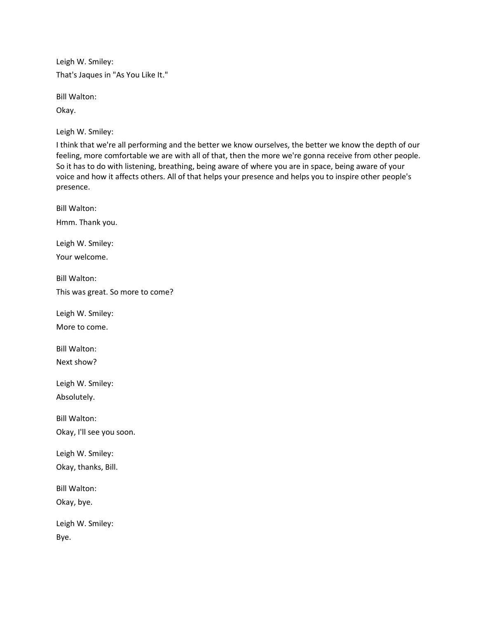Leigh W. Smiley: That's Jaques in "As You Like It."

Bill Walton:

Okay.

Leigh W. Smiley:

I think that we're all performing and the better we know ourselves, the better we know the depth of our feeling, more comfortable we are with all of that, then the more we're gonna receive from other people. So it has to do with listening, breathing, being aware of where you are in space, being aware of your voice and how it affects others. All of that helps your presence and helps you to inspire other people's presence.

Bill Walton: Hmm. Thank you. Leigh W. Smiley: Your welcome. Bill Walton: This was great. So more to come? Leigh W. Smiley: More to come. Bill Walton: Next show? Leigh W. Smiley: Absolutely. Bill Walton: Okay, I'll see you soon. Leigh W. Smiley: Okay, thanks, Bill. Bill Walton: Okay, bye. Leigh W. Smiley: Bye.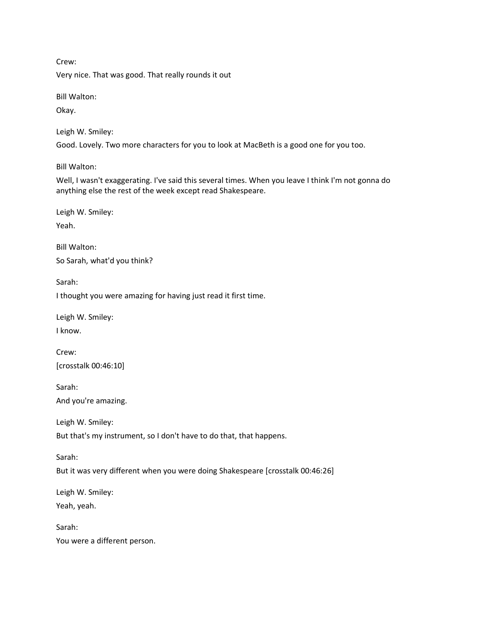Crew:

Very nice. That was good. That really rounds it out

Bill Walton:

Okay.

Leigh W. Smiley:

Good. Lovely. Two more characters for you to look at MacBeth is a good one for you too.

Bill Walton:

Well, I wasn't exaggerating. I've said this several times. When you leave I think I'm not gonna do anything else the rest of the week except read Shakespeare.

Leigh W. Smiley:

Yeah.

Bill Walton: So Sarah, what'd you think?

Sarah:

I thought you were amazing for having just read it first time.

Leigh W. Smiley:

I know.

Crew: [crosstalk 00:46:10]

Sarah:

And you're amazing.

Leigh W. Smiley:

But that's my instrument, so I don't have to do that, that happens.

Sarah:

But it was very different when you were doing Shakespeare [crosstalk 00:46:26]

Leigh W. Smiley:

Yeah, yeah.

Sarah: You were a different person.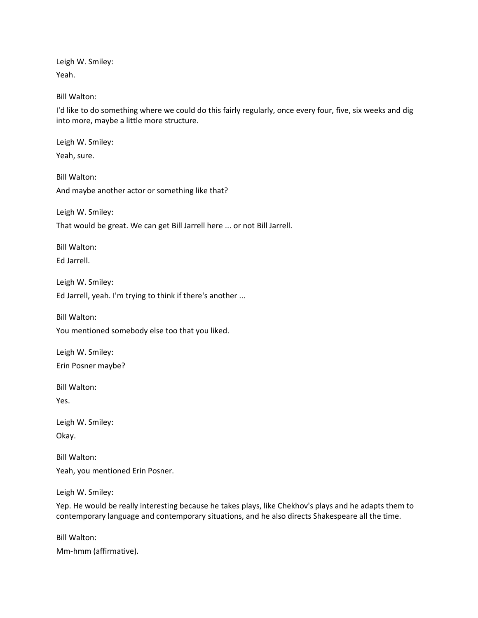Leigh W. Smiley: Yeah.

Bill Walton:

I'd like to do something where we could do this fairly regularly, once every four, five, six weeks and dig into more, maybe a little more structure.

Leigh W. Smiley:

Yeah, sure.

Bill Walton: And maybe another actor or something like that?

Leigh W. Smiley:

That would be great. We can get Bill Jarrell here ... or not Bill Jarrell.

Bill Walton: Ed Jarrell.

Leigh W. Smiley:

Ed Jarrell, yeah. I'm trying to think if there's another ...

Bill Walton:

You mentioned somebody else too that you liked.

Leigh W. Smiley: Erin Posner maybe?

Bill Walton:

Yes.

Leigh W. Smiley: Okay.

Bill Walton: Yeah, you mentioned Erin Posner.

Leigh W. Smiley:

Yep. He would be really interesting because he takes plays, like Chekhov's plays and he adapts them to contemporary language and contemporary situations, and he also directs Shakespeare all the time.

Bill Walton: Mm-hmm (affirmative).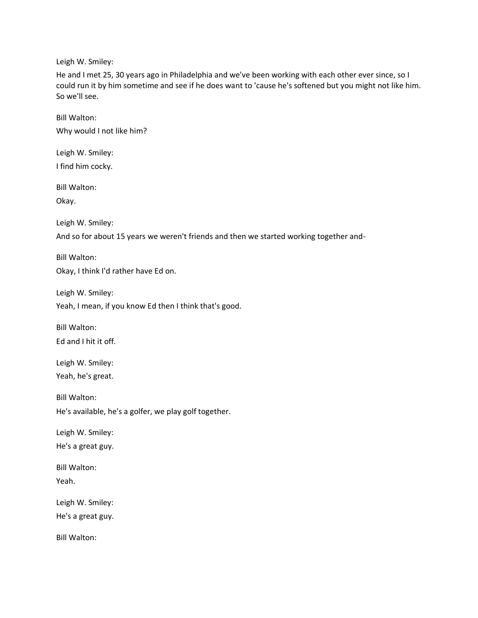He and I met 25, 30 years ago in Philadelphia and we've been working with each other ever since, so I could run it by him sometime and see if he does want to 'cause he's softened but you might not like him. So we'll see.

Bill Walton: Why would I not like him?

Leigh W. Smiley: I find him cocky.

Bill Walton:

Okay.

Leigh W. Smiley:

And so for about 15 years we weren't friends and then we started working together and-

Bill Walton: Okay, I think I'd rather have Ed on.

Leigh W. Smiley:

Yeah, I mean, if you know Ed then I think that's good.

Bill Walton: Ed and I hit it off.

Leigh W. Smiley: Yeah, he's great.

Bill Walton: He's available, he's a golfer, we play golf together.

Leigh W. Smiley: He's a great guy.

Bill Walton: Yeah.

Leigh W. Smiley:

He's a great guy.